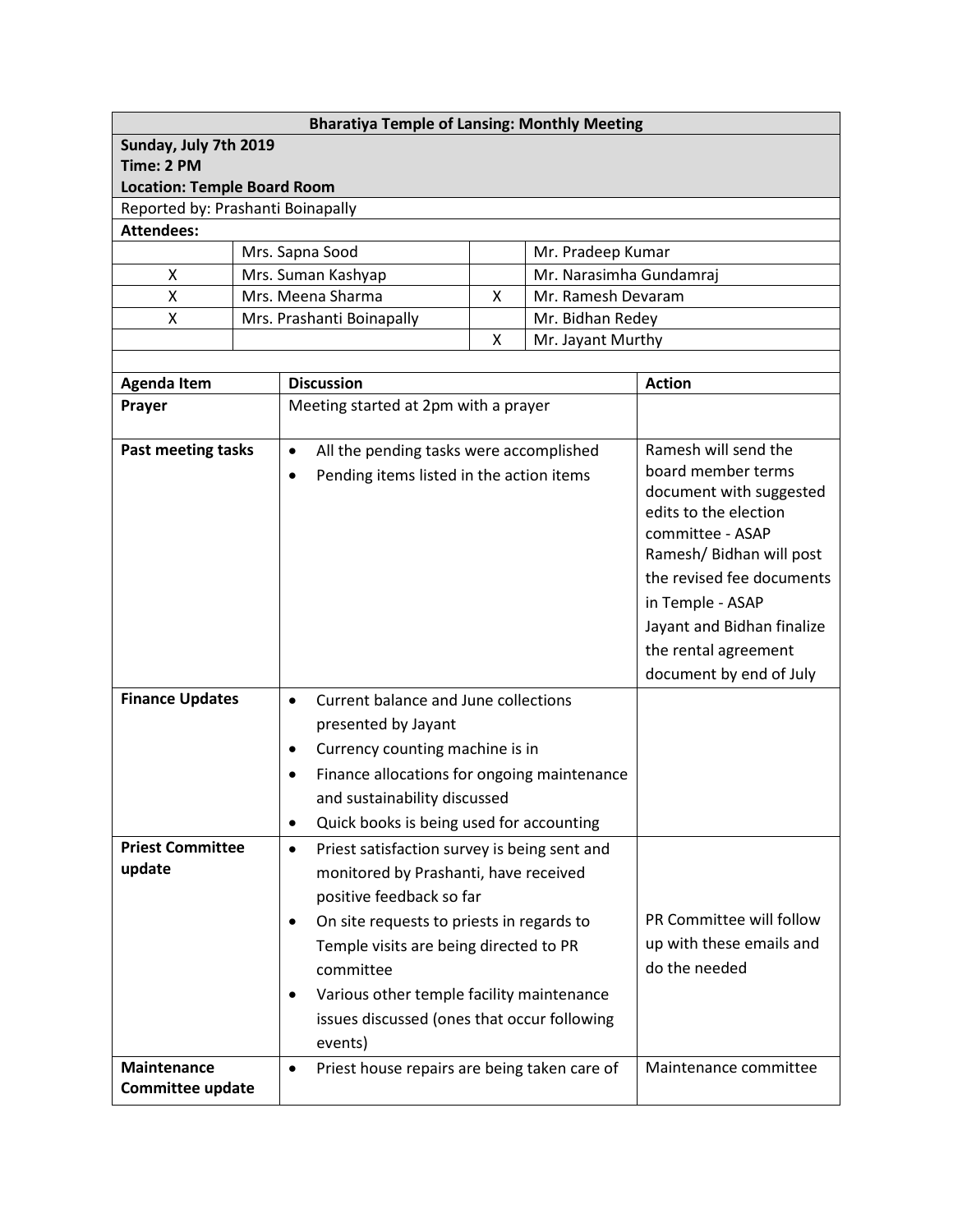| <b>Bharatiya Temple of Lansing: Monthly Meeting</b> |  |                                                                                       |  |  |                                                  |  |  |  |
|-----------------------------------------------------|--|---------------------------------------------------------------------------------------|--|--|--------------------------------------------------|--|--|--|
| Sunday, July 7th 2019                               |  |                                                                                       |  |  |                                                  |  |  |  |
| Time: 2 PM                                          |  |                                                                                       |  |  |                                                  |  |  |  |
| <b>Location: Temple Board Room</b>                  |  |                                                                                       |  |  |                                                  |  |  |  |
| Reported by: Prashanti Boinapally                   |  |                                                                                       |  |  |                                                  |  |  |  |
| <b>Attendees:</b>                                   |  |                                                                                       |  |  |                                                  |  |  |  |
| X                                                   |  | Mrs. Sapna Sood<br>Mr. Pradeep Kumar<br>Mrs. Suman Kashyap<br>Mr. Narasimha Gundamraj |  |  |                                                  |  |  |  |
| X                                                   |  | Mrs. Meena Sharma<br>Mr. Ramesh Devaram<br>X                                          |  |  |                                                  |  |  |  |
| X                                                   |  | Mrs. Prashanti Boinapally<br>Mr. Bidhan Redey                                         |  |  |                                                  |  |  |  |
|                                                     |  | Χ<br>Mr. Jayant Murthy                                                                |  |  |                                                  |  |  |  |
|                                                     |  |                                                                                       |  |  |                                                  |  |  |  |
| <b>Agenda Item</b>                                  |  | <b>Discussion</b>                                                                     |  |  | <b>Action</b>                                    |  |  |  |
| Prayer                                              |  | Meeting started at 2pm with a prayer                                                  |  |  |                                                  |  |  |  |
|                                                     |  |                                                                                       |  |  |                                                  |  |  |  |
| <b>Past meeting tasks</b>                           |  | All the pending tasks were accomplished<br>$\bullet$                                  |  |  | Ramesh will send the                             |  |  |  |
|                                                     |  | Pending items listed in the action items<br>$\bullet$                                 |  |  | board member terms                               |  |  |  |
|                                                     |  |                                                                                       |  |  | document with suggested<br>edits to the election |  |  |  |
|                                                     |  |                                                                                       |  |  |                                                  |  |  |  |
|                                                     |  |                                                                                       |  |  | committee - ASAP<br>Ramesh/ Bidhan will post     |  |  |  |
|                                                     |  |                                                                                       |  |  | the revised fee documents                        |  |  |  |
|                                                     |  |                                                                                       |  |  | in Temple - ASAP                                 |  |  |  |
|                                                     |  |                                                                                       |  |  | Jayant and Bidhan finalize                       |  |  |  |
|                                                     |  |                                                                                       |  |  | the rental agreement                             |  |  |  |
|                                                     |  |                                                                                       |  |  | document by end of July                          |  |  |  |
| <b>Finance Updates</b>                              |  | Current balance and June collections<br>$\bullet$                                     |  |  |                                                  |  |  |  |
|                                                     |  | presented by Jayant                                                                   |  |  |                                                  |  |  |  |
|                                                     |  | Currency counting machine is in<br>$\bullet$                                          |  |  |                                                  |  |  |  |
|                                                     |  | Finance allocations for ongoing maintenance<br>$\bullet$                              |  |  |                                                  |  |  |  |
|                                                     |  | and sustainability discussed                                                          |  |  |                                                  |  |  |  |
|                                                     |  | Quick books is being used for accounting<br>$\bullet$                                 |  |  |                                                  |  |  |  |
| <b>Priest Committee</b>                             |  | Priest satisfaction survey is being sent and<br>$\bullet$                             |  |  |                                                  |  |  |  |
| update                                              |  | monitored by Prashanti, have received                                                 |  |  |                                                  |  |  |  |
|                                                     |  | positive feedback so far                                                              |  |  |                                                  |  |  |  |
|                                                     |  | On site requests to priests in regards to<br>$\bullet$                                |  |  | PR Committee will follow                         |  |  |  |
|                                                     |  | Temple visits are being directed to PR                                                |  |  | up with these emails and                         |  |  |  |
|                                                     |  | committee                                                                             |  |  | do the needed                                    |  |  |  |
|                                                     |  | Various other temple facility maintenance<br>$\bullet$                                |  |  |                                                  |  |  |  |
|                                                     |  | issues discussed (ones that occur following                                           |  |  |                                                  |  |  |  |
|                                                     |  | events)                                                                               |  |  |                                                  |  |  |  |
| <b>Maintenance</b>                                  |  | Priest house repairs are being taken care of<br>$\bullet$                             |  |  | Maintenance committee                            |  |  |  |
| Committee update                                    |  |                                                                                       |  |  |                                                  |  |  |  |